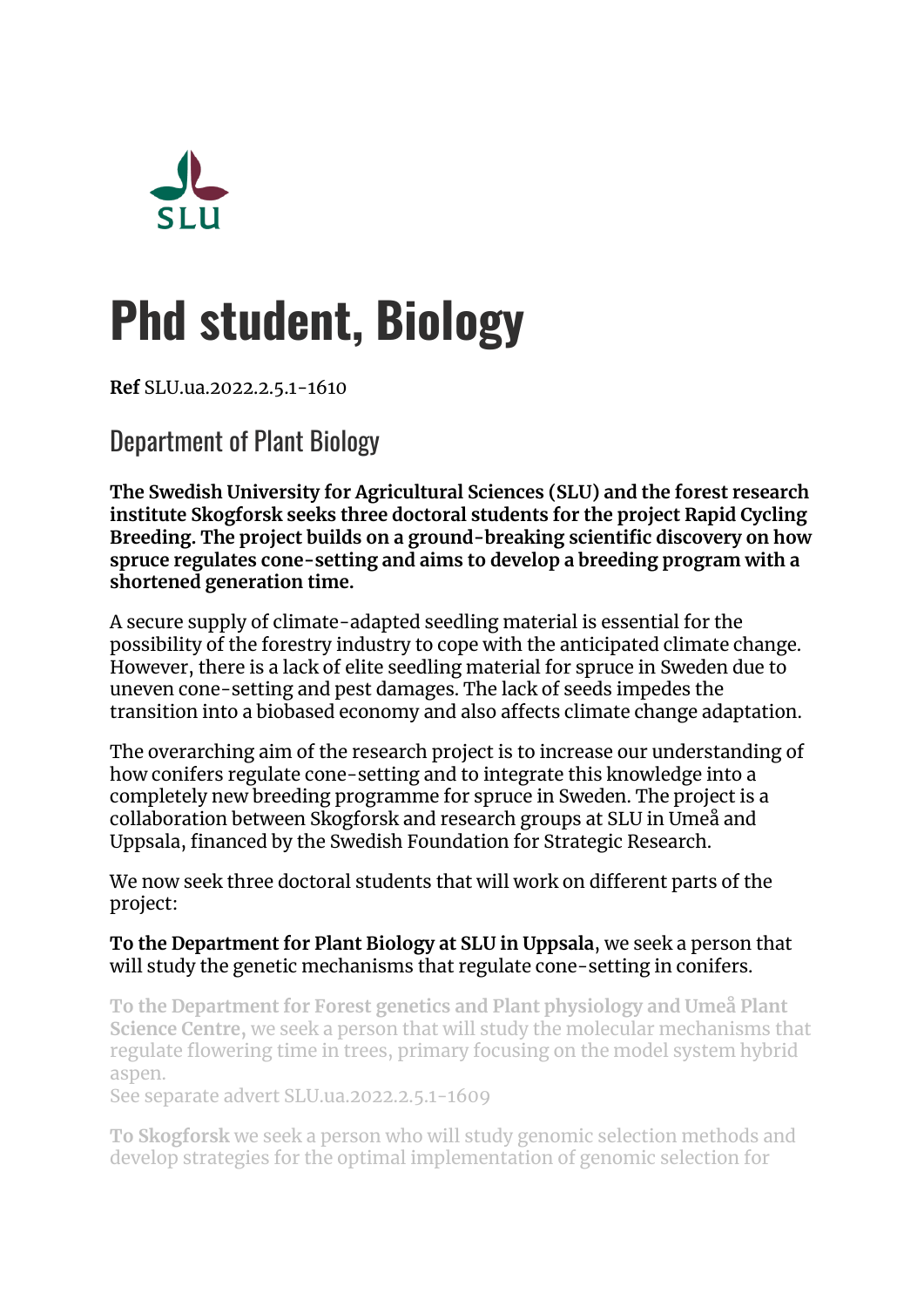

# **Phd student, Biology**

**Ref** SLU.ua.2022.2.5.1-1610

Department of Plant Biology

**The Swedish University for Agricultural Sciences (SLU) and the forest research institute Skogforsk seeks three doctoral students for the project Rapid Cycling Breeding. The project builds on a ground-breaking scientific discovery on how spruce regulates cone-setting and aims to develop a breeding program with a shortened generation time.**

A secure supply of climate-adapted seedling material is essential for the possibility of the forestry industry to cope with the anticipated climate change. However, there is a lack of elite seedling material for spruce in Sweden due to uneven cone-setting and pest damages. The lack of seeds impedes the transition into a biobased economy and also affects climate change adaptation.

The overarching aim of the research project is to increase our understanding of how conifers regulate cone-setting and to integrate this knowledge into a completely new breeding programme for spruce in Sweden. The project is a collaboration between Skogforsk and research groups at SLU in Umeå and Uppsala, financed by the Swedish Foundation for Strategic Research.

We now seek three doctoral students that will work on different parts of the project:

#### **To the Department for Plant Biology at SLU in Uppsala**, we seek a person that will study the genetic mechanisms that regulate cone-setting in conifers.

**To the Department for Forest genetics and Plant physiology and Umeå Plant Science Centre,** we seek a person that will study the molecular mechanisms that regulate flowering time in trees, primary focusing on the model system hybrid aspen.

See separate advert SLU.ua.2022.2.5.1-1609

**To Skogforsk** we seek a person who will study genomic selection methods and develop strategies for the optimal implementation of genomic selection for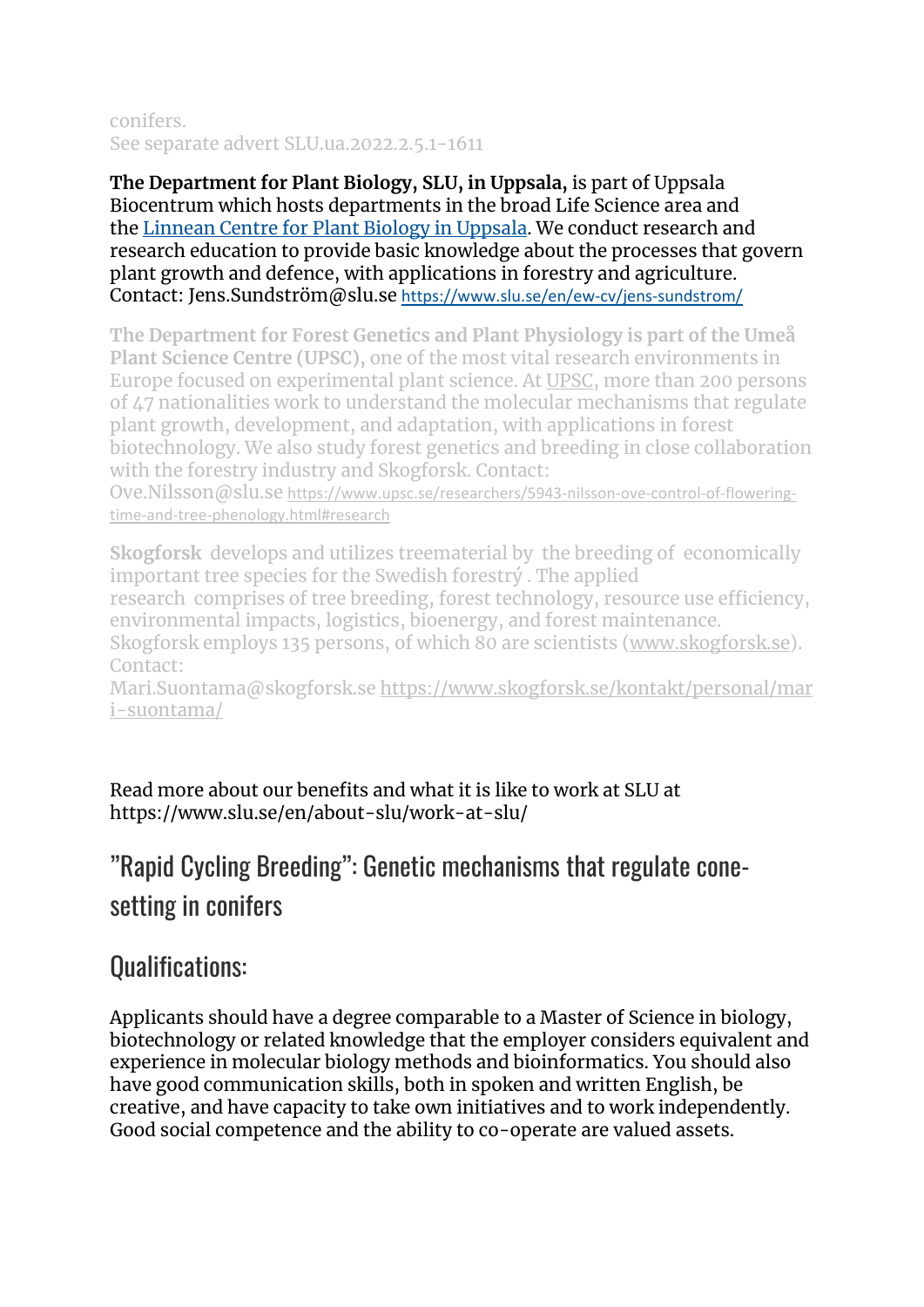#### conifers. See separate advert SLU.ua.2022.2.5.1-1611

**The Department for Plant Biology, SLU, in Uppsala,** is part of Uppsala Biocentrum which hosts departments in the broad Life Science area and the [Linnean Centre for Plant Biology in Uppsala.](https://lcpu.se/) We conduct research and research education to provide basic knowledge about the processes that govern plant growth and defence, with applications in forestry and agriculture. Contact: Jens.Sundström@slu.se <https://www.slu.se/en/ew-cv/jens-sundstrom/>

**The Department for Forest Genetics and Plant Physiology is part of the Umeå Plant Science Centre (UPSC),** one of the most vital research environments in Europe focused on experimental plant science. At [UPSC,](https://www.upsc.se/) more than 200 persons of 47 nationalities work to understand the molecular mechanisms that regulate plant growth, development, and adaptation, with applications in forest biotechnology. We also study forest genetics and breeding in close collaboration with the forestry industry and Skogforsk. Contact:

Ove.Nilsson@slu.se [https://www.upsc.se/researchers/5943-nilsson-ove-control-of-flowering](https://www.upsc.se/researchers/5943-nilsson-ove-control-of-flowering-time-and-tree-phenology.html#research)[time-and-tree-phenology.html#research](https://www.upsc.se/researchers/5943-nilsson-ove-control-of-flowering-time-and-tree-phenology.html#research)

**Skogforsk** develops and utilizes treematerial by the breeding of economically important tree species for the Swedish forestrý . The applied research comprises of tree breeding, forest technology, resource use efficiency, environmental impacts, logistics, bioenergy, and forest maintenance. Skogforsk employs 135 persons, of which 80 are scientists [\(www.skogforsk.se\)](http://www.skogforsk.se/).

Contact:

Mari.Suontama@skogforsk.se [https://www.skogforsk.se/kontakt/personal/mar](https://www.skogforsk.se/kontakt/personal/mari-suontama/) [i-suontama/](https://www.skogforsk.se/kontakt/personal/mari-suontama/)

Read more about our benefits and what it is like to work at SLU at https://www.slu.se/en/about-slu/work-at-slu/

## "Rapid Cycling Breeding": Genetic mechanisms that regulate conesetting in conifers

### Qualifications:

Applicants should have a degree comparable to a Master of Science in biology, biotechnology or related knowledge that the employer considers equivalent and experience in molecular biology methods and bioinformatics. You should also have good communication skills, both in spoken and written English, be creative, and have capacity to take own initiatives and to work independently. Good social competence and the ability to co-operate are valued assets.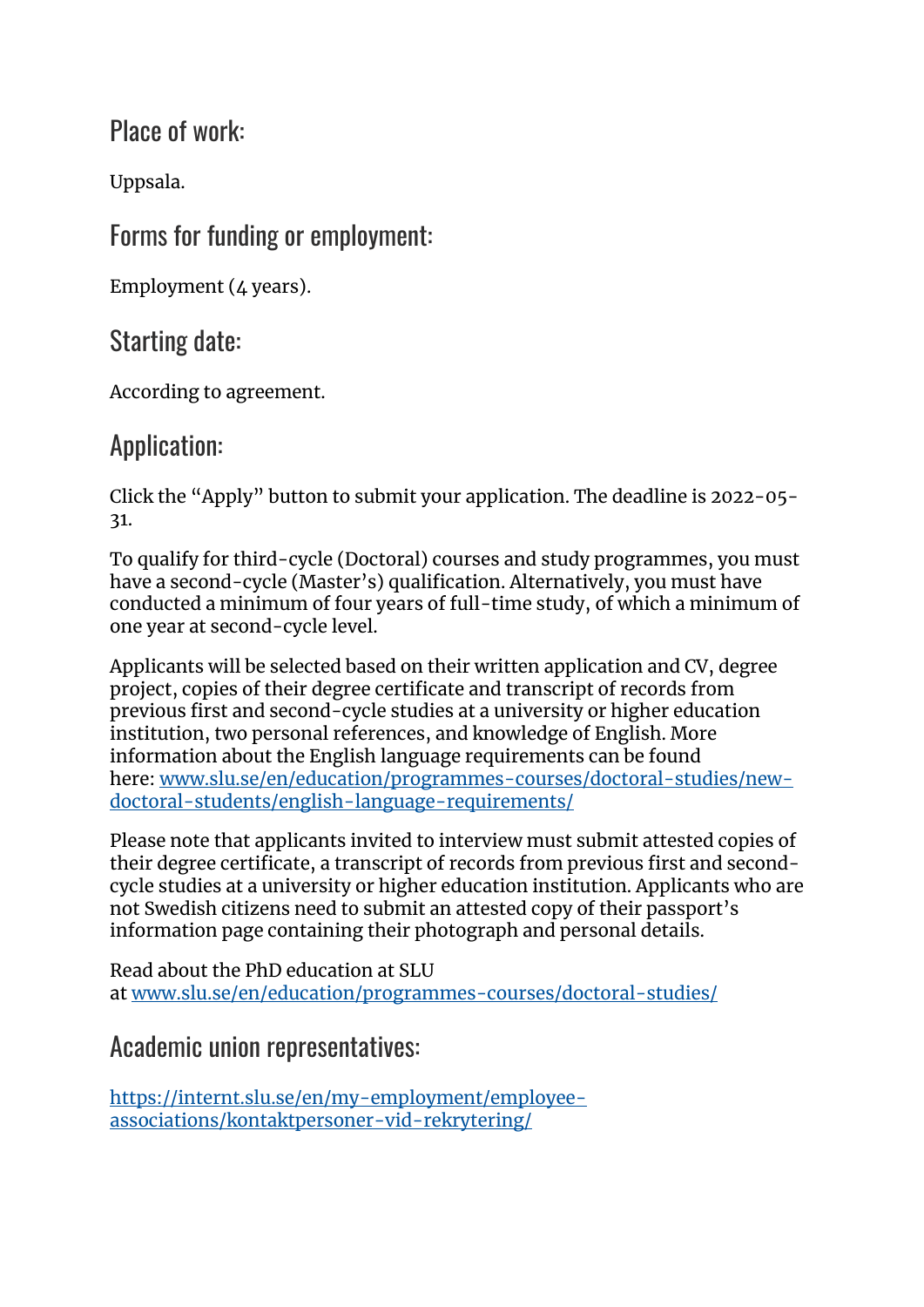Place of work:

Uppsala.

Forms for funding or employment:

Employment (4 years).

Starting date:

According to agreement.

## Application:

Click the "Apply" button to submit your application. The deadline is 2022-05- 31.

To qualify for third-cycle (Doctoral) courses and study programmes, you must have a second-cycle (Master's) qualification. Alternatively, you must have conducted a minimum of four years of full-time study, of which a minimum of one year at second-cycle level.

Applicants will be selected based on their written application and CV, degree project, copies of their degree certificate and transcript of records from previous first and second-cycle studies at a university or higher education institution, two personal references, and knowledge of English. More information about the English language requirements can be found here: [www.slu.se/en/education/programmes-courses/doctoral-studies/new](http://www.slu.se/en/education/programmes-courses/doctoral-studies/new-doctoral-students/english-language-requirements/)[doctoral-students/english-language-requirements/](http://www.slu.se/en/education/programmes-courses/doctoral-studies/new-doctoral-students/english-language-requirements/)

Please note that applicants invited to interview must submit attested copies of their degree certificate, a transcript of records from previous first and secondcycle studies at a university or higher education institution. Applicants who are not Swedish citizens need to submit an attested copy of their passport's information page containing their photograph and personal details.

Read about the PhD education at SLU at [www.slu.se/en/education/programmes-courses/doctoral-studies/](https://www.slu.se/en/education/programmes-courses/doctoral-studies/)

## Academic union representatives:

[https://internt.slu.se/en/my-employment/employee](https://internt.slu.se/en/my-employment/employee-associations/kontaktpersoner-vid-rekrytering/)[associations/kontaktpersoner-vid-rekrytering/](https://internt.slu.se/en/my-employment/employee-associations/kontaktpersoner-vid-rekrytering/)